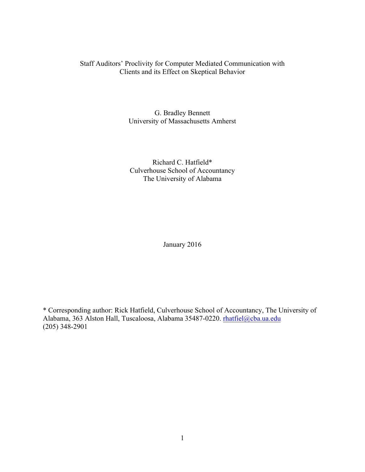# Staff Auditors' Proclivity for Computer Mediated Communication with Clients and its Effect on Skeptical Behavior

G. Bradley Bennett University of Massachusetts Amherst

Richard C. Hatfield\* Culverhouse School of Accountancy The University of Alabama

January 2016

\* Corresponding author: Rick Hatfield, Culverhouse School of Accountancy, The University of Alabama, 363 Alston Hall, Tuscaloosa, Alabama 35487-0220. rhatfiel@cba.ua.edu (205) 348-2901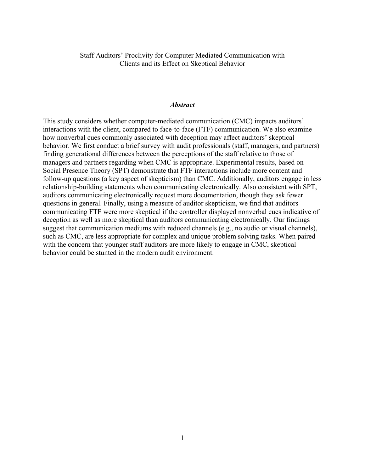Staff Auditors' Proclivity for Computer Mediated Communication with Clients and its Effect on Skeptical Behavior

# *Abstract*

This study considers whether computer-mediated communication (CMC) impacts auditors' interactions with the client, compared to face-to-face (FTF) communication. We also examine how nonverbal cues commonly associated with deception may affect auditors' skeptical behavior. We first conduct a brief survey with audit professionals (staff, managers, and partners) finding generational differences between the perceptions of the staff relative to those of managers and partners regarding when CMC is appropriate. Experimental results, based on Social Presence Theory (SPT) demonstrate that FTF interactions include more content and follow-up questions (a key aspect of skepticism) than CMC. Additionally, auditors engage in less relationship-building statements when communicating electronically. Also consistent with SPT, auditors communicating electronically request more documentation, though they ask fewer questions in general. Finally, using a measure of auditor skepticism, we find that auditors communicating FTF were more skeptical if the controller displayed nonverbal cues indicative of deception as well as more skeptical than auditors communicating electronically. Our findings suggest that communication mediums with reduced channels (e.g., no audio or visual channels), such as CMC, are less appropriate for complex and unique problem solving tasks. When paired with the concern that younger staff auditors are more likely to engage in CMC, skeptical behavior could be stunted in the modern audit environment.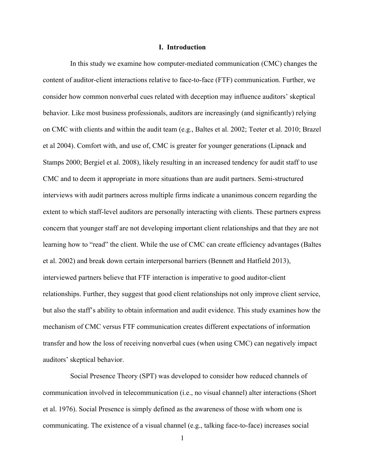### **I. Introduction**

In this study we examine how computer-mediated communication (CMC) changes the content of auditor-client interactions relative to face-to-face (FTF) communication. Further, we consider how common nonverbal cues related with deception may influence auditors' skeptical behavior. Like most business professionals, auditors are increasingly (and significantly) relying on CMC with clients and within the audit team (e.g., Baltes et al. 2002; Teeter et al. 2010; Brazel et al 2004). Comfort with, and use of, CMC is greater for younger generations (Lipnack and Stamps 2000; Bergiel et al. 2008), likely resulting in an increased tendency for audit staff to use CMC and to deem it appropriate in more situations than are audit partners. Semi-structured interviews with audit partners across multiple firms indicate a unanimous concern regarding the extent to which staff-level auditors are personally interacting with clients. These partners express concern that younger staff are not developing important client relationships and that they are not learning how to "read" the client. While the use of CMC can create efficiency advantages (Baltes et al. 2002) and break down certain interpersonal barriers (Bennett and Hatfield 2013), interviewed partners believe that FTF interaction is imperative to good auditor-client relationships. Further, they suggest that good client relationships not only improve client service, but also the staff's ability to obtain information and audit evidence. This study examines how the mechanism of CMC versus FTF communication creates different expectations of information transfer and how the loss of receiving nonverbal cues (when using CMC) can negatively impact auditors' skeptical behavior.

Social Presence Theory (SPT) was developed to consider how reduced channels of communication involved in telecommunication (i.e., no visual channel) alter interactions (Short et al. 1976). Social Presence is simply defined as the awareness of those with whom one is communicating. The existence of a visual channel (e.g., talking face-to-face) increases social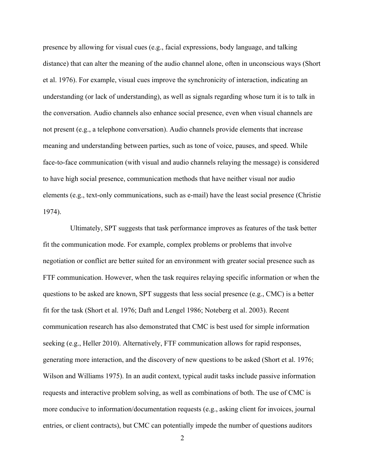presence by allowing for visual cues (e.g., facial expressions, body language, and talking distance) that can alter the meaning of the audio channel alone, often in unconscious ways (Short et al. 1976). For example, visual cues improve the synchronicity of interaction, indicating an understanding (or lack of understanding), as well as signals regarding whose turn it is to talk in the conversation. Audio channels also enhance social presence, even when visual channels are not present (e.g., a telephone conversation). Audio channels provide elements that increase meaning and understanding between parties, such as tone of voice, pauses, and speed. While face-to-face communication (with visual and audio channels relaying the message) is considered to have high social presence, communication methods that have neither visual nor audio elements (e.g., text-only communications, such as e-mail) have the least social presence (Christie 1974).

Ultimately, SPT suggests that task performance improves as features of the task better fit the communication mode. For example, complex problems or problems that involve negotiation or conflict are better suited for an environment with greater social presence such as FTF communication. However, when the task requires relaying specific information or when the questions to be asked are known, SPT suggests that less social presence (e.g., CMC) is a better fit for the task (Short et al. 1976; Daft and Lengel 1986; Noteberg et al. 2003). Recent communication research has also demonstrated that CMC is best used for simple information seeking (e.g., Heller 2010). Alternatively, FTF communication allows for rapid responses, generating more interaction, and the discovery of new questions to be asked (Short et al. 1976; Wilson and Williams 1975). In an audit context, typical audit tasks include passive information requests and interactive problem solving, as well as combinations of both. The use of CMC is more conducive to information/documentation requests (e.g., asking client for invoices, journal entries, or client contracts), but CMC can potentially impede the number of questions auditors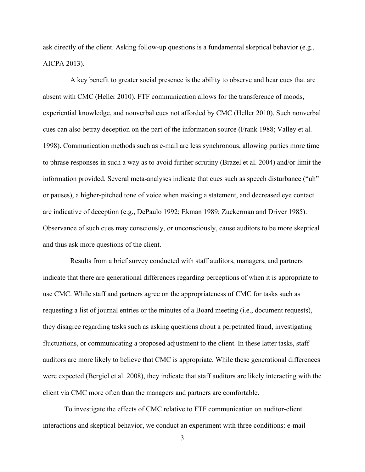ask directly of the client. Asking follow-up questions is a fundamental skeptical behavior (e.g., AICPA 2013).

A key benefit to greater social presence is the ability to observe and hear cues that are absent with CMC (Heller 2010). FTF communication allows for the transference of moods, experiential knowledge, and nonverbal cues not afforded by CMC (Heller 2010). Such nonverbal cues can also betray deception on the part of the information source (Frank 1988; Valley et al. 1998). Communication methods such as e-mail are less synchronous, allowing parties more time to phrase responses in such a way as to avoid further scrutiny (Brazel et al. 2004) and/or limit the information provided. Several meta-analyses indicate that cues such as speech disturbance ("uh" or pauses), a higher-pitched tone of voice when making a statement, and decreased eye contact are indicative of deception (e.g., DePaulo 1992; Ekman 1989; Zuckerman and Driver 1985). Observance of such cues may consciously, or unconsciously, cause auditors to be more skeptical and thus ask more questions of the client.

Results from a brief survey conducted with staff auditors, managers, and partners indicate that there are generational differences regarding perceptions of when it is appropriate to use CMC. While staff and partners agree on the appropriateness of CMC for tasks such as requesting a list of journal entries or the minutes of a Board meeting (i.e., document requests), they disagree regarding tasks such as asking questions about a perpetrated fraud, investigating fluctuations, or communicating a proposed adjustment to the client. In these latter tasks, staff auditors are more likely to believe that CMC is appropriate. While these generational differences were expected (Bergiel et al. 2008), they indicate that staff auditors are likely interacting with the client via CMC more often than the managers and partners are comfortable.

To investigate the effects of CMC relative to FTF communication on auditor-client interactions and skeptical behavior, we conduct an experiment with three conditions: e-mail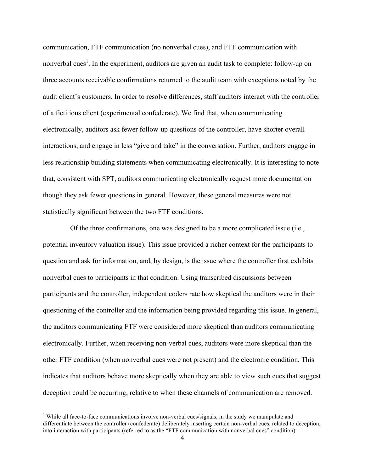communication, FTF communication (no nonverbal cues), and FTF communication with nonverbal cues<sup>1</sup>. In the experiment, auditors are given an audit task to complete: follow-up on three accounts receivable confirmations returned to the audit team with exceptions noted by the audit client's customers. In order to resolve differences, staff auditors interact with the controller of a fictitious client (experimental confederate). We find that, when communicating electronically, auditors ask fewer follow-up questions of the controller, have shorter overall interactions, and engage in less "give and take" in the conversation. Further, auditors engage in less relationship building statements when communicating electronically. It is interesting to note that, consistent with SPT, auditors communicating electronically request more documentation though they ask fewer questions in general. However, these general measures were not statistically significant between the two FTF conditions.

Of the three confirmations, one was designed to be a more complicated issue (i.e., potential inventory valuation issue). This issue provided a richer context for the participants to question and ask for information, and, by design, is the issue where the controller first exhibits nonverbal cues to participants in that condition. Using transcribed discussions between participants and the controller, independent coders rate how skeptical the auditors were in their questioning of the controller and the information being provided regarding this issue. In general, the auditors communicating FTF were considered more skeptical than auditors communicating electronically. Further, when receiving non-verbal cues, auditors were more skeptical than the other FTF condition (when nonverbal cues were not present) and the electronic condition. This indicates that auditors behave more skeptically when they are able to view such cues that suggest deception could be occurring, relative to when these channels of communication are removed.

<sup>&</sup>lt;sup>1</sup> While all face-to-face communications involve non-verbal cues/signals, in the study we manipulate and differentiate between the controller (confederate) deliberately inserting certain non-verbal cues, related to deception, into interaction with participants (referred to as the "FTF communication with nonverbal cues" condition).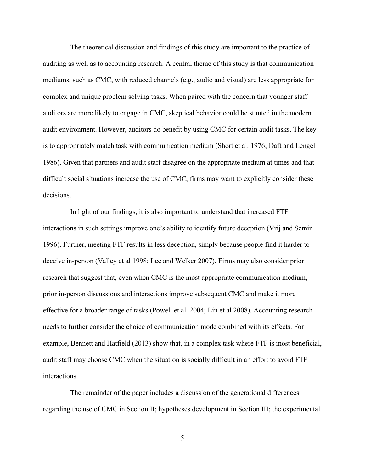The theoretical discussion and findings of this study are important to the practice of auditing as well as to accounting research. A central theme of this study is that communication mediums, such as CMC, with reduced channels (e.g., audio and visual) are less appropriate for complex and unique problem solving tasks. When paired with the concern that younger staff auditors are more likely to engage in CMC, skeptical behavior could be stunted in the modern audit environment. However, auditors do benefit by using CMC for certain audit tasks. The key is to appropriately match task with communication medium (Short et al. 1976; Daft and Lengel 1986). Given that partners and audit staff disagree on the appropriate medium at times and that difficult social situations increase the use of CMC, firms may want to explicitly consider these decisions.

In light of our findings, it is also important to understand that increased FTF interactions in such settings improve one's ability to identify future deception (Vrij and Semin 1996). Further, meeting FTF results in less deception, simply because people find it harder to deceive in-person (Valley et al 1998; Lee and Welker 2007). Firms may also consider prior research that suggest that, even when CMC is the most appropriate communication medium, prior in-person discussions and interactions improve subsequent CMC and make it more effective for a broader range of tasks (Powell et al. 2004; Lin et al 2008). Accounting research needs to further consider the choice of communication mode combined with its effects. For example, Bennett and Hatfield (2013) show that, in a complex task where FTF is most beneficial, audit staff may choose CMC when the situation is socially difficult in an effort to avoid FTF interactions.

The remainder of the paper includes a discussion of the generational differences regarding the use of CMC in Section II; hypotheses development in Section III; the experimental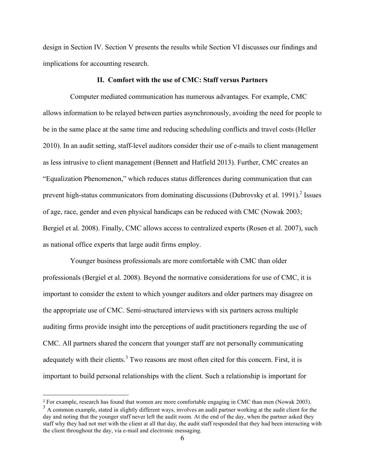design in Section IV. Section V presents the results while Section VI discusses our findings and implications for accounting research.

# **II. Comfort with the use of CMC: Staff versus Partners**

Computer mediated communication has numerous advantages. For example, CMC allows information to be relayed between parties asynchronously, avoiding the need for people to be in the same place at the same time and reducing scheduling conflicts and travel costs (Heller 2010). In an audit setting, staff-level auditors consider their use of e-mails to client management as less intrusive to client management (Bennett and Hatfield 2013). Further, CMC creates an "Equalization Phenomenon," which reduces status differences during communication that can prevent high-status communicators from dominating discussions (Dubrovsky et al. 1991).<sup>2</sup> Issues of age, race, gender and even physical handicaps can be reduced with CMC (Nowak 2003; Bergiel et al. 2008). Finally, CMC allows access to centralized experts (Rosen et al. 2007), such as national office experts that large audit firms employ.

Younger business professionals are more comfortable with CMC than older professionals (Bergiel et al. 2008). Beyond the normative considerations for use of CMC, it is important to consider the extent to which younger auditors and older partners may disagree on the appropriate use of CMC. Semi-structured interviews with six partners across multiple auditing firms provide insight into the perceptions of audit practitioners regarding the use of CMC. All partners shared the concern that younger staff are not personally communicating adequately with their clients.<sup>3</sup> Two reasons are most often cited for this concern. First, it is important to build personal relationships with the client. Such a relationship is important for

<sup>2</sup> For example, research has found that women are more comfortable engaging in CMC than men (Nowak 2003).

<sup>&</sup>lt;sup>3</sup> A common example, stated in slightly different ways, involves an audit partner working at the audit client for the day and noting that the younger staff never left the audit room. At the end of the day, when the partner asked they staff why they had not met with the client at all that day, the audit staff responded that they had been interacting with the client throughout the day, via e-mail and electronic messaging.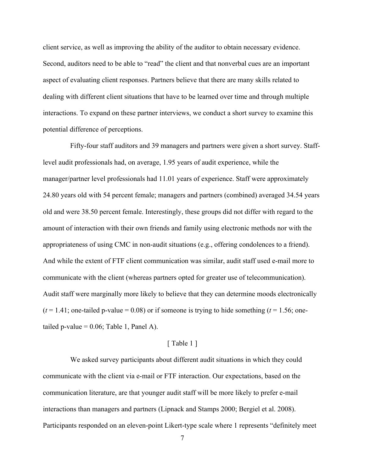client service, as well as improving the ability of the auditor to obtain necessary evidence. Second, auditors need to be able to "read" the client and that nonverbal cues are an important aspect of evaluating client responses. Partners believe that there are many skills related to dealing with different client situations that have to be learned over time and through multiple interactions. To expand on these partner interviews, we conduct a short survey to examine this potential difference of perceptions.

Fifty-four staff auditors and 39 managers and partners were given a short survey. Stafflevel audit professionals had, on average, 1.95 years of audit experience, while the manager/partner level professionals had 11.01 years of experience. Staff were approximately 24.80 years old with 54 percent female; managers and partners (combined) averaged 34.54 years old and were 38.50 percent female. Interestingly, these groups did not differ with regard to the amount of interaction with their own friends and family using electronic methods nor with the appropriateness of using CMC in non-audit situations (e.g., offering condolences to a friend). And while the extent of FTF client communication was similar, audit staff used e-mail more to communicate with the client (whereas partners opted for greater use of telecommunication). Audit staff were marginally more likely to believe that they can determine moods electronically  $(t = 1.41;$  one-tailed p-value = 0.08) or if someone is trying to hide something  $(t = 1.56;$  onetailed p-value  $= 0.06$ ; Table 1, Panel A).

## [ Table 1 ]

We asked survey participants about different audit situations in which they could communicate with the client via e-mail or FTF interaction. Our expectations, based on the communication literature, are that younger audit staff will be more likely to prefer e-mail interactions than managers and partners (Lipnack and Stamps 2000; Bergiel et al. 2008). Participants responded on an eleven-point Likert-type scale where 1 represents "definitely meet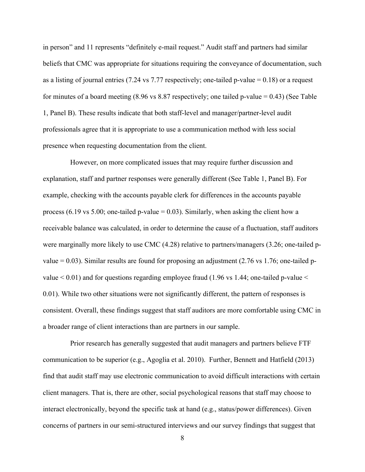in person" and 11 represents "definitely e-mail request." Audit staff and partners had similar beliefs that CMC was appropriate for situations requiring the conveyance of documentation, such as a listing of journal entries (7.24 vs 7.77 respectively; one-tailed p-value  $= 0.18$ ) or a request for minutes of a board meeting  $(8.96 \text{ vs } 8.87 \text{ respectively})$ ; one tailed p-value = 0.43) (See Table 1, Panel B). These results indicate that both staff-level and manager/partner-level audit professionals agree that it is appropriate to use a communication method with less social presence when requesting documentation from the client.

However, on more complicated issues that may require further discussion and explanation, staff and partner responses were generally different (See Table 1, Panel B). For example, checking with the accounts payable clerk for differences in the accounts payable process (6.19 vs 5.00; one-tailed p-value = 0.03). Similarly, when asking the client how a receivable balance was calculated, in order to determine the cause of a fluctuation, staff auditors were marginally more likely to use CMC (4.28) relative to partners/managers (3.26; one-tailed pvalue  $= 0.03$ ). Similar results are found for proposing an adjustment (2.76 vs 1.76; one-tailed pvalue  $< 0.01$ ) and for questions regarding employee fraud (1.96 vs 1.44; one-tailed p-value  $<$ 0.01). While two other situations were not significantly different, the pattern of responses is consistent. Overall, these findings suggest that staff auditors are more comfortable using CMC in a broader range of client interactions than are partners in our sample.

Prior research has generally suggested that audit managers and partners believe FTF communication to be superior (e.g., Agoglia et al. 2010). Further, Bennett and Hatfield (2013) find that audit staff may use electronic communication to avoid difficult interactions with certain client managers. That is, there are other, social psychological reasons that staff may choose to interact electronically, beyond the specific task at hand (e.g., status/power differences). Given concerns of partners in our semi-structured interviews and our survey findings that suggest that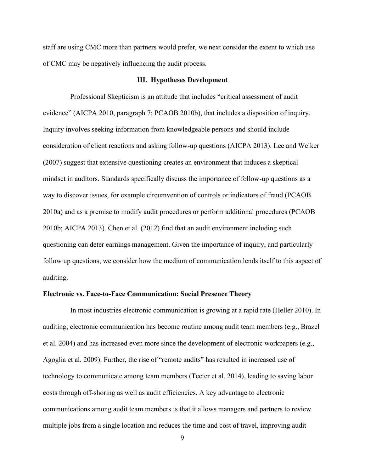staff are using CMC more than partners would prefer, we next consider the extent to which use of CMC may be negatively influencing the audit process.

## **III. Hypotheses Development**

Professional Skepticism is an attitude that includes "critical assessment of audit evidence" (AICPA 2010, paragraph 7; PCAOB 2010b), that includes a disposition of inquiry. Inquiry involves seeking information from knowledgeable persons and should include consideration of client reactions and asking follow-up questions (AICPA 2013). Lee and Welker (2007) suggest that extensive questioning creates an environment that induces a skeptical mindset in auditors. Standards specifically discuss the importance of follow-up questions as a way to discover issues, for example circumvention of controls or indicators of fraud (PCAOB 2010a) and as a premise to modify audit procedures or perform additional procedures (PCAOB 2010b; AICPA 2013). Chen et al. (2012) find that an audit environment including such questioning can deter earnings management. Given the importance of inquiry, and particularly follow up questions, we consider how the medium of communication lends itself to this aspect of auditing.

#### **Electronic vs. Face-to-Face Communication: Social Presence Theory**

In most industries electronic communication is growing at a rapid rate (Heller 2010). In auditing, electronic communication has become routine among audit team members (e.g., Brazel et al. 2004) and has increased even more since the development of electronic workpapers (e.g., Agoglia et al. 2009). Further, the rise of "remote audits" has resulted in increased use of technology to communicate among team members (Teeter et al. 2014), leading to saving labor costs through off-shoring as well as audit efficiencies. A key advantage to electronic communications among audit team members is that it allows managers and partners to review multiple jobs from a single location and reduces the time and cost of travel, improving audit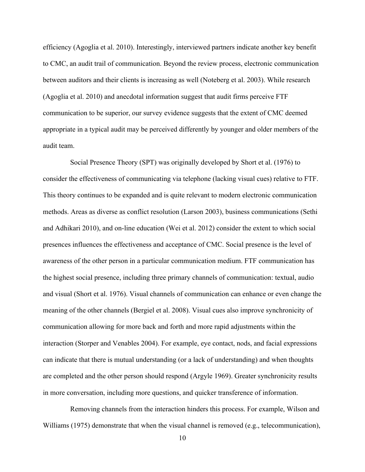efficiency (Agoglia et al. 2010). Interestingly, interviewed partners indicate another key benefit to CMC, an audit trail of communication. Beyond the review process, electronic communication between auditors and their clients is increasing as well (Noteberg et al. 2003). While research (Agoglia et al. 2010) and anecdotal information suggest that audit firms perceive FTF communication to be superior, our survey evidence suggests that the extent of CMC deemed appropriate in a typical audit may be perceived differently by younger and older members of the audit team.

Social Presence Theory (SPT) was originally developed by Short et al. (1976) to consider the effectiveness of communicating via telephone (lacking visual cues) relative to FTF. This theory continues to be expanded and is quite relevant to modern electronic communication methods. Areas as diverse as conflict resolution (Larson 2003), business communications (Sethi and Adhikari 2010), and on-line education (Wei et al. 2012) consider the extent to which social presences influences the effectiveness and acceptance of CMC. Social presence is the level of awareness of the other person in a particular communication medium. FTF communication has the highest social presence, including three primary channels of communication: textual, audio and visual (Short et al. 1976). Visual channels of communication can enhance or even change the meaning of the other channels (Bergiel et al. 2008). Visual cues also improve synchronicity of communication allowing for more back and forth and more rapid adjustments within the interaction (Storper and Venables 2004). For example, eye contact, nods, and facial expressions can indicate that there is mutual understanding (or a lack of understanding) and when thoughts are completed and the other person should respond (Argyle 1969). Greater synchronicity results in more conversation, including more questions, and quicker transference of information.

Removing channels from the interaction hinders this process. For example, Wilson and Williams (1975) demonstrate that when the visual channel is removed (e.g., telecommunication),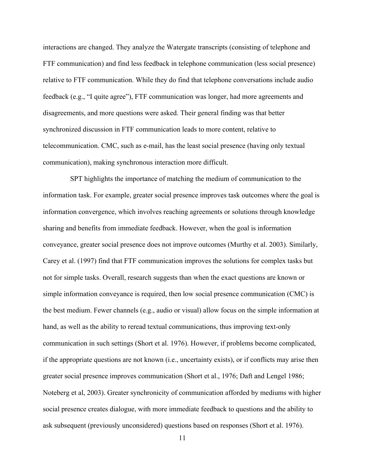interactions are changed. They analyze the Watergate transcripts (consisting of telephone and FTF communication) and find less feedback in telephone communication (less social presence) relative to FTF communication. While they do find that telephone conversations include audio feedback (e.g., "I quite agree"), FTF communication was longer, had more agreements and disagreements, and more questions were asked. Their general finding was that better synchronized discussion in FTF communication leads to more content, relative to telecommunication. CMC, such as e-mail, has the least social presence (having only textual communication), making synchronous interaction more difficult.

SPT highlights the importance of matching the medium of communication to the information task. For example, greater social presence improves task outcomes where the goal is information convergence, which involves reaching agreements or solutions through knowledge sharing and benefits from immediate feedback. However, when the goal is information conveyance, greater social presence does not improve outcomes (Murthy et al. 2003). Similarly, Carey et al. (1997) find that FTF communication improves the solutions for complex tasks but not for simple tasks. Overall, research suggests than when the exact questions are known or simple information conveyance is required, then low social presence communication (CMC) is the best medium. Fewer channels (e.g., audio or visual) allow focus on the simple information at hand, as well as the ability to reread textual communications, thus improving text-only communication in such settings (Short et al. 1976). However, if problems become complicated, if the appropriate questions are not known (i.e., uncertainty exists), or if conflicts may arise then greater social presence improves communication (Short et al., 1976; Daft and Lengel 1986; Noteberg et al, 2003). Greater synchronicity of communication afforded by mediums with higher social presence creates dialogue, with more immediate feedback to questions and the ability to ask subsequent (previously unconsidered) questions based on responses (Short et al. 1976).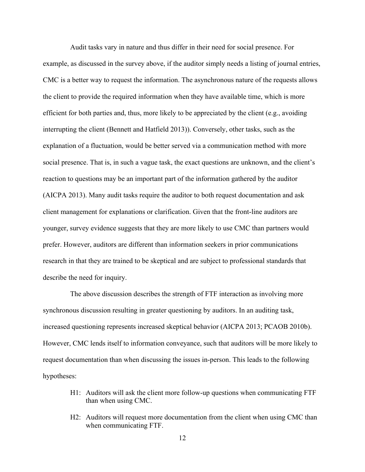Audit tasks vary in nature and thus differ in their need for social presence. For example, as discussed in the survey above, if the auditor simply needs a listing of journal entries, CMC is a better way to request the information. The asynchronous nature of the requests allows the client to provide the required information when they have available time, which is more efficient for both parties and, thus, more likely to be appreciated by the client (e.g., avoiding interrupting the client (Bennett and Hatfield 2013)). Conversely, other tasks, such as the explanation of a fluctuation, would be better served via a communication method with more social presence. That is, in such a vague task, the exact questions are unknown, and the client's reaction to questions may be an important part of the information gathered by the auditor (AICPA 2013). Many audit tasks require the auditor to both request documentation and ask client management for explanations or clarification. Given that the front-line auditors are younger, survey evidence suggests that they are more likely to use CMC than partners would prefer. However, auditors are different than information seekers in prior communications research in that they are trained to be skeptical and are subject to professional standards that describe the need for inquiry.

The above discussion describes the strength of FTF interaction as involving more synchronous discussion resulting in greater questioning by auditors. In an auditing task, increased questioning represents increased skeptical behavior (AICPA 2013; PCAOB 2010b). However, CMC lends itself to information conveyance, such that auditors will be more likely to request documentation than when discussing the issues in-person. This leads to the following hypotheses:

- H1: Auditors will ask the client more follow-up questions when communicating FTF than when using CMC.
- H2: Auditors will request more documentation from the client when using CMC than when communicating FTF.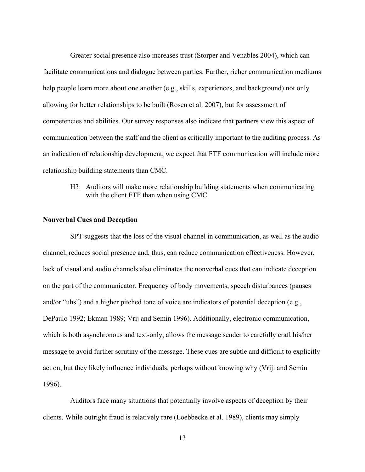Greater social presence also increases trust (Storper and Venables 2004), which can facilitate communications and dialogue between parties. Further, richer communication mediums help people learn more about one another (e.g., skills, experiences, and background) not only allowing for better relationships to be built (Rosen et al. 2007), but for assessment of competencies and abilities. Our survey responses also indicate that partners view this aspect of communication between the staff and the client as critically important to the auditing process. As an indication of relationship development, we expect that FTF communication will include more relationship building statements than CMC.

H3: Auditors will make more relationship building statements when communicating with the client FTF than when using CMC.

## **Nonverbal Cues and Deception**

SPT suggests that the loss of the visual channel in communication, as well as the audio channel, reduces social presence and, thus, can reduce communication effectiveness. However, lack of visual and audio channels also eliminates the nonverbal cues that can indicate deception on the part of the communicator. Frequency of body movements, speech disturbances (pauses and/or "uhs") and a higher pitched tone of voice are indicators of potential deception (e.g., DePaulo 1992; Ekman 1989; Vrij and Semin 1996). Additionally, electronic communication, which is both asynchronous and text-only, allows the message sender to carefully craft his/her message to avoid further scrutiny of the message. These cues are subtle and difficult to explicitly act on, but they likely influence individuals, perhaps without knowing why (Vriji and Semin 1996).

Auditors face many situations that potentially involve aspects of deception by their clients. While outright fraud is relatively rare (Loebbecke et al. 1989), clients may simply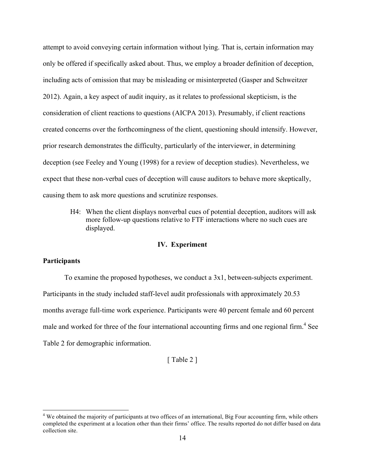attempt to avoid conveying certain information without lying. That is, certain information may only be offered if specifically asked about. Thus, we employ a broader definition of deception, including acts of omission that may be misleading or misinterpreted (Gasper and Schweitzer 2012). Again, a key aspect of audit inquiry, as it relates to professional skepticism, is the consideration of client reactions to questions (AICPA 2013). Presumably, if client reactions created concerns over the forthcomingness of the client, questioning should intensify. However, prior research demonstrates the difficulty, particularly of the interviewer, in determining deception (see Feeley and Young (1998) for a review of deception studies). Nevertheless, we expect that these non-verbal cues of deception will cause auditors to behave more skeptically, causing them to ask more questions and scrutinize responses.

H4: When the client displays nonverbal cues of potential deception, auditors will ask more follow-up questions relative to FTF interactions where no such cues are displayed.

# **IV. Experiment**

# **Participants**

To examine the proposed hypotheses, we conduct a 3x1, between-subjects experiment. Participants in the study included staff-level audit professionals with approximately 20.53 months average full-time work experience. Participants were 40 percent female and 60 percent male and worked for three of the four international accounting firms and one regional firm.<sup>4</sup> See Table 2 for demographic information.

[ Table 2 ]

<sup>&</sup>lt;sup>4</sup> We obtained the majority of participants at two offices of an international, Big Four accounting firm, while others completed the experiment at a location other than their firms' office. The results reported do not differ based on data collection site.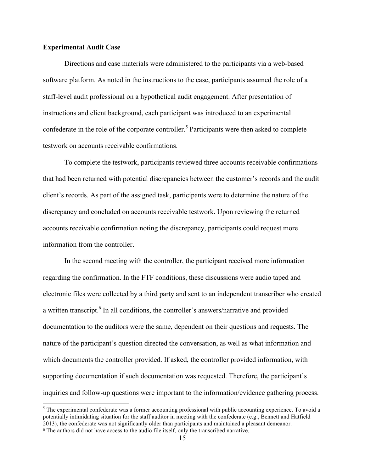# **Experimental Audit Case**

Directions and case materials were administered to the participants via a web-based software platform. As noted in the instructions to the case, participants assumed the role of a staff-level audit professional on a hypothetical audit engagement. After presentation of instructions and client background, each participant was introduced to an experimental confederate in the role of the corporate controller.<sup>5</sup> Participants were then asked to complete testwork on accounts receivable confirmations.

To complete the testwork, participants reviewed three accounts receivable confirmations that had been returned with potential discrepancies between the customer's records and the audit client's records. As part of the assigned task, participants were to determine the nature of the discrepancy and concluded on accounts receivable testwork. Upon reviewing the returned accounts receivable confirmation noting the discrepancy, participants could request more information from the controller.

In the second meeting with the controller, the participant received more information regarding the confirmation. In the FTF conditions, these discussions were audio taped and electronic files were collected by a third party and sent to an independent transcriber who created a written transcript.<sup>6</sup> In all conditions, the controller's answers/narrative and provided documentation to the auditors were the same, dependent on their questions and requests. The nature of the participant's question directed the conversation, as well as what information and which documents the controller provided. If asked, the controller provided information, with supporting documentation if such documentation was requested. Therefore, the participant's inquiries and follow-up questions were important to the information/evidence gathering process.

<sup>&</sup>lt;sup>5</sup> The experimental confederate was a former accounting professional with public accounting experience. To avoid a potentially intimidating situation for the staff auditor in meeting with the confederate (e.g., Bennett and Hatfield 2013), the confederate was not significantly older than participants and maintained a pleasant demeanor. <sup>6</sup> The authors did not have access to the audio file itself, only the transcribed narrative.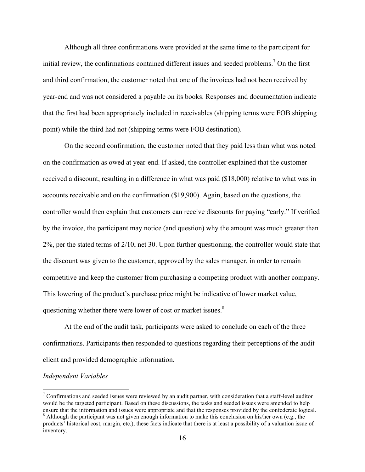Although all three confirmations were provided at the same time to the participant for initial review, the confirmations contained different issues and seeded problems.<sup>7</sup> On the first and third confirmation, the customer noted that one of the invoices had not been received by year-end and was not considered a payable on its books. Responses and documentation indicate that the first had been appropriately included in receivables (shipping terms were FOB shipping point) while the third had not (shipping terms were FOB destination).

On the second confirmation, the customer noted that they paid less than what was noted on the confirmation as owed at year-end. If asked, the controller explained that the customer received a discount, resulting in a difference in what was paid (\$18,000) relative to what was in accounts receivable and on the confirmation (\$19,900). Again, based on the questions, the controller would then explain that customers can receive discounts for paying "early." If verified by the invoice, the participant may notice (and question) why the amount was much greater than 2%, per the stated terms of 2/10, net 30. Upon further questioning, the controller would state that the discount was given to the customer, approved by the sales manager, in order to remain competitive and keep the customer from purchasing a competing product with another company. This lowering of the product's purchase price might be indicative of lower market value, questioning whether there were lower of cost or market issues.<sup>8</sup>

At the end of the audit task, participants were asked to conclude on each of the three confirmations. Participants then responded to questions regarding their perceptions of the audit client and provided demographic information.

#### *Independent Variables*

<sup>&</sup>lt;sup>7</sup> Confirmations and seeded issues were reviewed by an audit partner, with consideration that a staff-level auditor would be the targeted participant. Based on these discussions, the tasks and seeded issues were amended to help ensure that the information and issues were appropriate and that the responses provided by the confederate logical.<br><sup>8</sup> Although the participant was not given enough information to make this conclusion on his/her own (e.g

products' historical cost, margin, etc.), these facts indicate that there is at least a possibility of a valuation issue of inventory.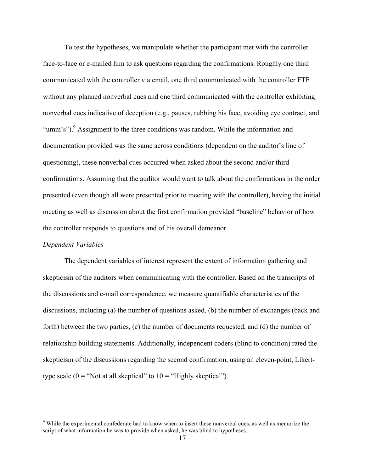To test the hypotheses, we manipulate whether the participant met with the controller face-to-face or e-mailed him to ask questions regarding the confirmations. Roughly one third communicated with the controller via email, one third communicated with the controller FTF without any planned nonverbal cues and one third communicated with the controller exhibiting nonverbal cues indicative of deception (e.g., pauses, rubbing his face, avoiding eye contract, and "umm's").<sup>9</sup> Assignment to the three conditions was random. While the information and documentation provided was the same across conditions (dependent on the auditor's line of questioning), these nonverbal cues occurred when asked about the second and/or third confirmations. Assuming that the auditor would want to talk about the confirmations in the order presented (even though all were presented prior to meeting with the controller), having the initial meeting as well as discussion about the first confirmation provided "baseline" behavior of how the controller responds to questions and of his overall demeanor.

# *Dependent Variables*

The dependent variables of interest represent the extent of information gathering and skepticism of the auditors when communicating with the controller. Based on the transcripts of the discussions and e-mail correspondence, we measure quantifiable characteristics of the discussions, including (a) the number of questions asked, (b) the number of exchanges (back and forth) between the two parties, (c) the number of documents requested, and (d) the number of relationship building statements. Additionally, independent coders (blind to condition) rated the skepticism of the discussions regarding the second confirmation, using an eleven-point, Likerttype scale  $(0 = "Not at all skeptical" to 10 = "Highly skeptical").$ 

 $9$  While the experimental confederate had to know when to insert these nonverbal cues, as well as memorize the script of what information he was to provide when asked, he was blind to hypotheses.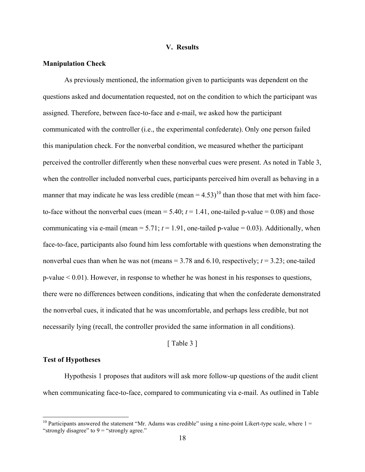## **V. Results**

# **Manipulation Check**

As previously mentioned, the information given to participants was dependent on the questions asked and documentation requested, not on the condition to which the participant was assigned. Therefore, between face-to-face and e-mail, we asked how the participant communicated with the controller (i.e., the experimental confederate). Only one person failed this manipulation check. For the nonverbal condition, we measured whether the participant perceived the controller differently when these nonverbal cues were present. As noted in Table 3, when the controller included nonverbal cues, participants perceived him overall as behaving in a manner that may indicate he was less credible (mean =  $4.53$ )<sup>10</sup> than those that met with him faceto-face without the nonverbal cues (mean  $= 5.40$ ;  $t = 1.41$ , one-tailed p-value  $= 0.08$ ) and those communicating via e-mail (mean  $= 5.71$ ;  $t = 1.91$ , one-tailed p-value  $= 0.03$ ). Additionally, when face-to-face, participants also found him less comfortable with questions when demonstrating the nonverbal cues than when he was not (means  $= 3.78$  and  $6.10$ , respectively;  $t = 3.23$ ; one-tailed p-value < 0.01). However, in response to whether he was honest in his responses to questions, there were no differences between conditions, indicating that when the confederate demonstrated the nonverbal cues, it indicated that he was uncomfortable, and perhaps less credible, but not necessarily lying (recall, the controller provided the same information in all conditions).

# [ Table 3 ]

## **Test of Hypotheses**

Hypothesis 1 proposes that auditors will ask more follow-up questions of the audit client when communicating face-to-face, compared to communicating via e-mail. As outlined in Table

<sup>&</sup>lt;sup>10</sup> Participants answered the statement "Mr. Adams was credible" using a nine-point Likert-type scale, where  $1 =$ "strongly disagree" to  $9 =$  "strongly agree."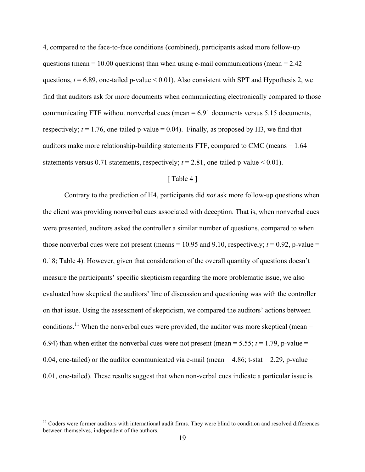4, compared to the face-to-face conditions (combined), participants asked more follow-up questions (mean  $= 10.00$  questions) than when using e-mail communications (mean  $= 2.42$ ) questions,  $t = 6.89$ , one-tailed p-value < 0.01). Also consistent with SPT and Hypothesis 2, we find that auditors ask for more documents when communicating electronically compared to those communicating FTF without nonverbal cues (mean  $= 6.91$  documents versus 5.15 documents, respectively;  $t = 1.76$ , one-tailed p-value = 0.04). Finally, as proposed by H3, we find that auditors make more relationship-building statements FTF, compared to CMC (means = 1.64 statements versus 0.71 statements, respectively;  $t = 2.81$ , one-tailed p-value < 0.01).

# [ Table 4 ]

Contrary to the prediction of H4, participants did *not* ask more follow-up questions when the client was providing nonverbal cues associated with deception. That is, when nonverbal cues were presented, auditors asked the controller a similar number of questions, compared to when those nonverbal cues were not present (means  $= 10.95$  and 9.10, respectively;  $t = 0.92$ , p-value  $=$ 0.18; Table 4). However, given that consideration of the overall quantity of questions doesn't measure the participants' specific skepticism regarding the more problematic issue, we also evaluated how skeptical the auditors' line of discussion and questioning was with the controller on that issue. Using the assessment of skepticism, we compared the auditors' actions between conditions.<sup>11</sup> When the nonverbal cues were provided, the auditor was more skeptical (mean = 6.94) than when either the nonverbal cues were not present (mean = 5.55;  $t = 1.79$ , p-value = 0.04, one-tailed) or the auditor communicated via e-mail (mean =  $4.86$ ; t-stat =  $2.29$ , p-value = 0.01, one-tailed). These results suggest that when non-verbal cues indicate a particular issue is

 $11$  Coders were former auditors with international audit firms. They were blind to condition and resolved differences between themselves, independent of the authors.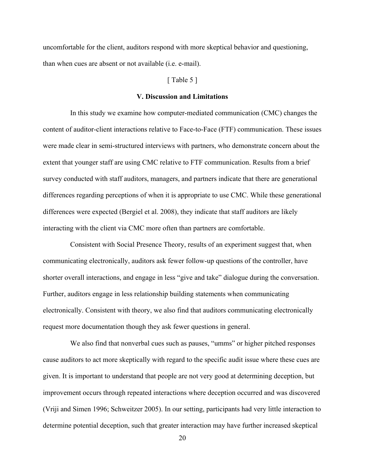uncomfortable for the client, auditors respond with more skeptical behavior and questioning, than when cues are absent or not available (i.e. e-mail).

# [ Table 5 ]

### **V. Discussion and Limitations**

In this study we examine how computer-mediated communication (CMC) changes the content of auditor-client interactions relative to Face-to-Face (FTF) communication. These issues were made clear in semi-structured interviews with partners, who demonstrate concern about the extent that younger staff are using CMC relative to FTF communication. Results from a brief survey conducted with staff auditors, managers, and partners indicate that there are generational differences regarding perceptions of when it is appropriate to use CMC. While these generational differences were expected (Bergiel et al. 2008), they indicate that staff auditors are likely interacting with the client via CMC more often than partners are comfortable.

Consistent with Social Presence Theory, results of an experiment suggest that, when communicating electronically, auditors ask fewer follow-up questions of the controller, have shorter overall interactions, and engage in less "give and take" dialogue during the conversation. Further, auditors engage in less relationship building statements when communicating electronically. Consistent with theory, we also find that auditors communicating electronically request more documentation though they ask fewer questions in general.

We also find that nonverbal cues such as pauses, "umms" or higher pitched responses cause auditors to act more skeptically with regard to the specific audit issue where these cues are given. It is important to understand that people are not very good at determining deception, but improvement occurs through repeated interactions where deception occurred and was discovered (Vriji and Simen 1996; Schweitzer 2005). In our setting, participants had very little interaction to determine potential deception, such that greater interaction may have further increased skeptical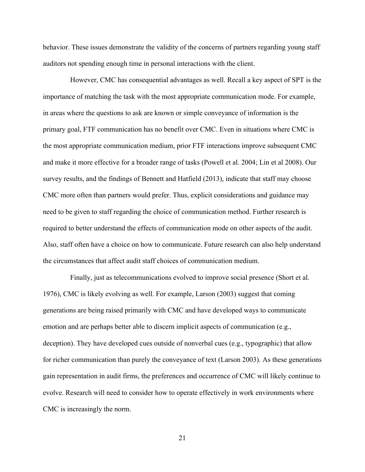behavior. These issues demonstrate the validity of the concerns of partners regarding young staff auditors not spending enough time in personal interactions with the client.

However, CMC has consequential advantages as well. Recall a key aspect of SPT is the importance of matching the task with the most appropriate communication mode. For example, in areas where the questions to ask are known or simple conveyance of information is the primary goal, FTF communication has no benefit over CMC. Even in situations where CMC is the most appropriate communication medium, prior FTF interactions improve subsequent CMC and make it more effective for a broader range of tasks (Powell et al. 2004; Lin et al 2008). Our survey results, and the findings of Bennett and Hatfield (2013), indicate that staff may choose CMC more often than partners would prefer. Thus, explicit considerations and guidance may need to be given to staff regarding the choice of communication method. Further research is required to better understand the effects of communication mode on other aspects of the audit. Also, staff often have a choice on how to communicate. Future research can also help understand the circumstances that affect audit staff choices of communication medium.

Finally, just as telecommunications evolved to improve social presence (Short et al. 1976), CMC is likely evolving as well. For example, Larson (2003) suggest that coming generations are being raised primarily with CMC and have developed ways to communicate emotion and are perhaps better able to discern implicit aspects of communication (e.g., deception). They have developed cues outside of nonverbal cues (e.g., typographic) that allow for richer communication than purely the conveyance of text (Larson 2003). As these generations gain representation in audit firms, the preferences and occurrence of CMC will likely continue to evolve. Research will need to consider how to operate effectively in work environments where CMC is increasingly the norm.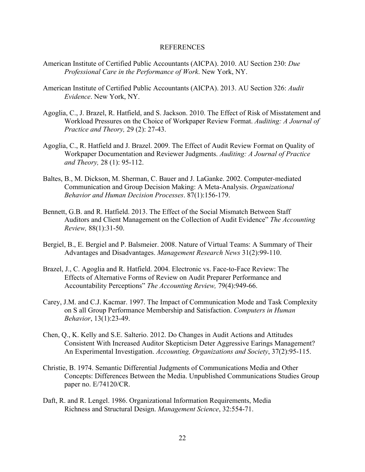## REFERENCES

- American Institute of Certified Public Accountants (AICPA). 2010. AU Section 230: *Due Professional Care in the Performance of Work*. New York, NY.
- American Institute of Certified Public Accountants (AICPA). 2013. AU Section 326: *Audit Evidence*. New York, NY.
- Agoglia, C., J. Brazel, R. Hatfield, and S. Jackson. 2010. The Effect of Risk of Misstatement and Workload Pressures on the Choice of Workpaper Review Format. *Auditing: A Journal of Practice and Theory,* 29 (2): 27-43.
- Agoglia, C., R. Hatfield and J. Brazel. 2009. The Effect of Audit Review Format on Quality of Workpaper Documentation and Reviewer Judgments. *Auditing: A Journal of Practice and Theory,* 28 (1): 95-112.
- Baltes, B., M. Dickson, M. Sherman, C. Bauer and J. LaGanke. 2002. Computer-mediated Communication and Group Decision Making: A Meta-Analysis. *Organizational Behavior and Human Decision Processes*. 87(1):156-179.
- Bennett, G.B. and R. Hatfield. 2013. The Effect of the Social Mismatch Between Staff Auditors and Client Management on the Collection of Audit Evidence" *The Accounting Review,* 88(1):31-50.
- Bergiel, B., E. Bergiel and P. Balsmeier. 2008. Nature of Virtual Teams: A Summary of Their Advantages and Disadvantages. *Management Research News* 31(2):99-110.
- Brazel, J., C. Agoglia and R. Hatfield. 2004. Electronic vs. Face-to-Face Review: The Effects of Alternative Forms of Review on Audit Preparer Performance and Accountability Perceptions" *The Accounting Review,* 79(4):949-66.
- Carey, J.M. and C.J. Kacmar. 1997. The Impact of Communication Mode and Task Complexity on S all Group Performance Membership and Satisfaction. *Computers in Human Behavior*, 13(1):23-49.
- Chen, Q., K. Kelly and S.E. Salterio. 2012. Do Changes in Audit Actions and Attitudes Consistent With Increased Auditor Skepticism Deter Aggressive Earings Management? An Experimental Investigation. *Accounting, Organizations and Society*, 37(2):95-115.
- Christie, B. 1974. Semantic Differential Judgments of Communications Media and Other Concepts: Differences Between the Media. Unpublished Communications Studies Group paper no. E/74120/CR.
- Daft, R. and R. Lengel. 1986. Organizational Information Requirements, Media Richness and Structural Design. *Management Science*, 32:554-71.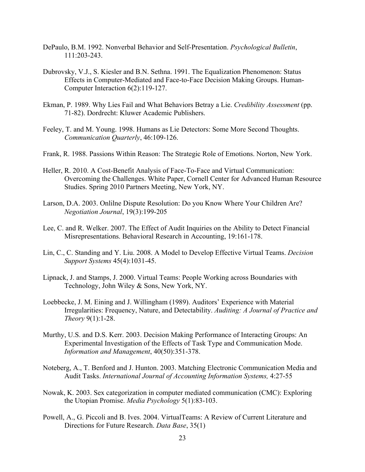- DePaulo, B.M. 1992. Nonverbal Behavior and Self-Presentation. *Psychological Bulletin*, 111:203-243.
- Dubrovsky, V.J., S. Kiesler and B.N. Sethna. 1991. The Equalization Phenomenon: Status Effects in Computer-Mediated and Face-to-Face Decision Making Groups. Human-Computer Interaction 6(2):119-127.
- Ekman, P. 1989. Why Lies Fail and What Behaviors Betray a Lie. *Credibility Assessment* (pp. 71-82). Dordrecht: Kluwer Academic Publishers.
- Feeley, T. and M. Young. 1998. Humans as Lie Detectors: Some More Second Thoughts. *Communication Quarterly*, 46:109-126.
- Frank, R. 1988. Passions Within Reason: The Strategic Role of Emotions. Norton, New York.
- Heller, R. 2010. A Cost-Benefit Analysis of Face-To-Face and Virtual Communication: Overcoming the Challenges. White Paper, Cornell Center for Advanced Human Resource Studies. Spring 2010 Partners Meeting, New York, NY.
- Larson, D.A. 2003. Onlilne Dispute Resolution: Do you Know Where Your Children Are? *Negotiation Journal*, 19(3):199-205
- Lee, C. and R. Welker. 2007. The Effect of Audit Inquiries on the Ability to Detect Financial Misrepresentations. Behavioral Research in Accounting, 19:161-178.
- Lin, C., C. Standing and Y. Liu. 2008. A Model to Develop Effective Virtual Teams. *Decision Support Systems* 45(4):1031-45.
- Lipnack, J. and Stamps, J. 2000. Virtual Teams: People Working across Boundaries with Technology, John Wiley & Sons, New York, NY.
- Loebbecke, J. M. Eining and J. Willingham (1989). Auditors' Experience with Material Irregularities: Frequency, Nature, and Detectability. *Auditing: A Journal of Practice and Theory* 9(1):1-28.
- Murthy, U.S. and D.S. Kerr. 2003. Decision Making Performance of Interacting Groups: An Experimental Investigation of the Effects of Task Type and Communication Mode. *Information and Management*, 40(50):351-378.
- Noteberg, A., T. Benford and J. Hunton. 2003. Matching Electronic Communication Media and Audit Tasks. *International Journal of Accounting Information Systems,* 4:27-55
- Nowak, K. 2003. Sex categorization in computer mediated communication (CMC): Exploring the Utopian Promise. *Media Psychology* 5(1):83-103.
- Powell, A., G. Piccoli and B. Ives. 2004. VirtualTeams: A Review of Current Literature and Directions for Future Research. *Data Base*, 35(1)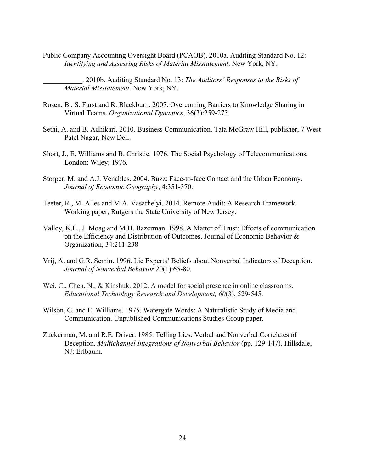Public Company Accounting Oversight Board (PCAOB). 2010a. Auditing Standard No. 12: *Identifying and Assessing Risks of Material Misstatement*. New York, NY.

\_\_\_\_\_\_\_\_\_\_\_. 2010b. Auditing Standard No. 13: *The Auditors' Responses to the Risks of Material Misstatement*. New York, NY.

- Rosen, B., S. Furst and R. Blackburn. 2007. Overcoming Barriers to Knowledge Sharing in Virtual Teams. *Organizational Dynamics*, 36(3):259-273
- Sethi, A. and B. Adhikari. 2010. Business Communication. Tata McGraw Hill, publisher, 7 West Patel Nagar, New Deli.
- Short, J., E. Williams and B. Christie. 1976. The Social Psychology of Telecommunications. London: Wiley; 1976.
- Storper, M. and A.J. Venables. 2004. Buzz: Face-to-face Contact and the Urban Economy. *Journal of Economic Geography*, 4:351-370.
- Teeter, R., M. Alles and M.A. Vasarhelyi. 2014. Remote Audit: A Research Framework. Working paper, Rutgers the State University of New Jersey.
- Valley, K.L., J. Moag and M.H. Bazerman. 1998. A Matter of Trust: Effects of communication on the Efficiency and Distribution of Outcomes. Journal of Economic Behavior & Organization, 34:211-238
- Vrij, A. and G.R. Semin. 1996. Lie Experts' Beliefs about Nonverbal Indicators of Deception. *Journal of Nonverbal Behavior* 20(1):65-80.
- Wei, C., Chen, N., & Kinshuk. 2012. A model for social presence in online classrooms. *Educational Technology Research and Development, 60*(3), 529-545.
- Wilson, C. and E. Williams. 1975. Watergate Words: A Naturalistic Study of Media and Communication. Unpublished Communications Studies Group paper.
- Zuckerman, M. and R.E. Driver. 1985. Telling Lies: Verbal and Nonverbal Correlates of Deception. *Multichannel Integrations of Nonverbal Behavior* (pp. 129-147). Hillsdale, NJ: Erlbaum.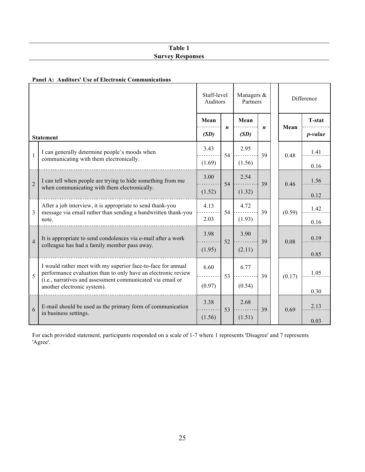# **Table 1 Survey Responses**

## **Panel A: Auditors' Use of Electronic Communications**

|                |                                                                                                                               | Staff-level<br>Auditors |                  | Managers &<br>Partners |                  |        | Difference      |
|----------------|-------------------------------------------------------------------------------------------------------------------------------|-------------------------|------------------|------------------------|------------------|--------|-----------------|
|                |                                                                                                                               | Mean                    |                  | Mean                   |                  |        | <b>T-stat</b>   |
|                | <b>Statement</b>                                                                                                              | (SD)                    | $\boldsymbol{n}$ | (SD)                   | $\boldsymbol{n}$ | Mean   | <i>p</i> -value |
| $\mathbf{1}$   | I can generally determine people's moods when                                                                                 | 3.43                    | 54               | 2.95                   | 39               | 0.48   | 1.41            |
|                | communicating with them electronically.                                                                                       | (1.69)                  |                  | (1.56)                 |                  |        | 0.16            |
| $\overline{2}$ | I can tell when people are trying to hide something from me                                                                   | 3.00                    | 54               | 2.54                   | 39               | 0.46   | 1.56            |
|                | when communicating with them electronically.                                                                                  | (1.52)                  |                  | (1.32)                 |                  |        | 0.12            |
| $\overline{3}$ | After a job interview, it is appropriate to send thank-you<br>message via email rather than sending a handwritten thank-you   | 4.13                    | 54               | 4.72                   | 39               | (0.59) | 1.42            |
|                | note.                                                                                                                         | 2.03                    |                  | (1.93)                 |                  |        | 0.16            |
| $\overline{4}$ | It is appropriate to send condolences via e-mail after a work                                                                 | 3.98                    | 52               | 3.90                   | 39               | 0.08   | 0.19            |
|                | colleague has had a family member pass away.                                                                                  | (1.95)                  |                  | (2.11)                 |                  |        | 0.85            |
| 5              | I would rather meet with my superior face-to-face for annual<br>performance evaluation than to only have an electronic review | 6.60                    | 53               | 6.77                   | 39               | (0.17) | 1.05            |
|                | (i.e., narratives and assessment communicated via email or<br>another electronic system).                                     | (0.97)                  |                  | (0.54)                 |                  |        | 0.30            |
| 6              | E-mail should be used as the primary form of communication                                                                    | 3.38                    | 53               | 2.68                   | 39               | 0.69   | 2.13            |
|                | in business settings.                                                                                                         | (1.56)                  |                  | (1.51)                 |                  |        | 0.03            |

For each provided statement, participants responded on a scale of 1-7 where 1 represents 'Disagree' and 7 represents 'Agree'.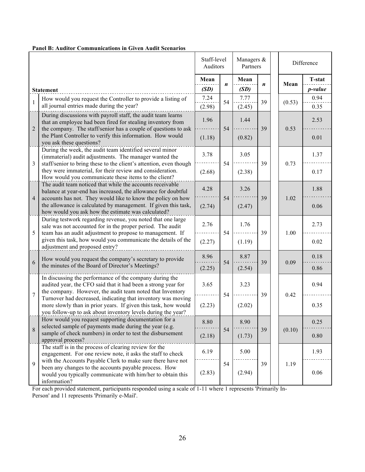|                |                                                                                                                                                                                                     | Staff-level<br>Auditors |                  | Managers &<br>Partners |    |  |        | Difference |  |
|----------------|-----------------------------------------------------------------------------------------------------------------------------------------------------------------------------------------------------|-------------------------|------------------|------------------------|----|--|--------|------------|--|
|                |                                                                                                                                                                                                     | Mean                    | $\boldsymbol{n}$ | Mean                   |    |  | Mean   | T-stat     |  |
|                | <b>Statement</b>                                                                                                                                                                                    | (SD)                    |                  | (SD)                   | n  |  |        | p-value    |  |
|                | How would you request the Controller to provide a listing of                                                                                                                                        | 7.24                    |                  | 7.77                   |    |  |        | 0.94       |  |
| $\mathbf{1}$   | all journal entries made during the year?                                                                                                                                                           | (2.98)                  | 54               | (2.45)                 | 39 |  | (0.53) | 0.35       |  |
| $\overline{2}$ | During discussions with payroll staff, the audit team learns<br>that an employee had been fired for stealing inventory from<br>the company. The staff/senior has a couple of questions to ask       | 1.96                    | 54               | 1.44                   | 39 |  | 0.53   | 2.53       |  |
|                | the Plant Controller to verify this information. How would<br>you ask these questions?                                                                                                              | (1.18)                  |                  | (0.82)                 |    |  |        | 0.01       |  |
| $\overline{3}$ | During the week, the audit team identified several minor<br>(immaterial) audit adjustments. The manager wanted the<br>staff/senior to bring these to the client's attention, even though            | 3.78                    | 54               | 3.05                   | 39 |  | 0.73   | 1.37       |  |
|                | they were immaterial, for their review and consideration.<br>How would you communicate these items to the client?                                                                                   | (2.68)                  |                  | (2.38)                 |    |  |        | 0.17       |  |
| $\overline{4}$ | The audit team noticed that while the accounts receivable<br>balance at year-end has increased, the allowance for doubtful<br>accounts has not. They would like to know the policy on how           | 4.28                    | 54               | 3.26                   | 39 |  | 1.02   | 1.88       |  |
|                | the allowance is calculated by management. If given this task,<br>how would you ask how the estimate was calculated?                                                                                | (2.74)                  |                  | (2.47)                 |    |  |        | 0.06       |  |
| 5              | During testwork regarding revenue, you noted that one large<br>sale was not accounted for in the proper period. The audit<br>team has an audit adjustment to propose to management. If              | 2.76                    | 54               | 1.76                   | 39 |  |        | 2.73       |  |
|                | given this task, how would you communicate the details of the<br>adjustment and proposed entry?                                                                                                     | (2.27)                  |                  | (1.19)                 |    |  | 1.00   | 0.02       |  |
|                | How would you request the company's secretary to provide                                                                                                                                            | 8.96                    | 54               | 8.87                   | 39 |  | 0.09   | 0.18       |  |
| 6              | the minutes of the Board of Director's Meetings?                                                                                                                                                    | (2.25)                  |                  | (2.54)                 |    |  |        | 0.86       |  |
|                | In discussing the performance of the company during the<br>audited year, the CFO said that it had been a strong year for<br>the company. However, the audit team noted that Inventory               | 3.65                    |                  | 3.23                   |    |  |        | 0.94       |  |
| $\overline{7}$ | Turnover had decreased, indicating that inventory was moving<br>more slowly than in prior years. If given this task, how would<br>you follow-up to ask about inventory levels during the year?      | (2.23)                  | 54               | (2.02)                 | 39 |  | 0.42   | 0.35       |  |
|                | How would you request supporting documentation for a<br>selected sample of payments made during the year (e.g.                                                                                      | 8.80                    |                  | 8.90                   |    |  |        | 0.25       |  |
| 8              | sample of check numbers) in order to test the disbursement<br>approval process?                                                                                                                     | (2.18)                  | 54               | (1.73)                 | 39 |  | (0.10) | 0.80       |  |
|                | The staff is in the process of clearing review for the<br>engagement. For one review note, it asks the staff to check                                                                               | 6.19                    |                  | 5.00                   |    |  |        | 1.93       |  |
| $\overline{9}$ | with the Accounts Payable Clerk to make sure there have not<br>been any changes to the accounts payable process. How<br>would you typically communicate with him/her to obtain this<br>information? | (2.83)                  | 54               | (2.94)                 | 39 |  | 1.19   | 0.06       |  |

## **Panel B: Auditor Communications in Given Audit Scenarios**

For each provided statement, participants responded using a scale of 1-11 where 1 represents 'Primarily In-Person' and 11 represents 'Primarily e-Mail'.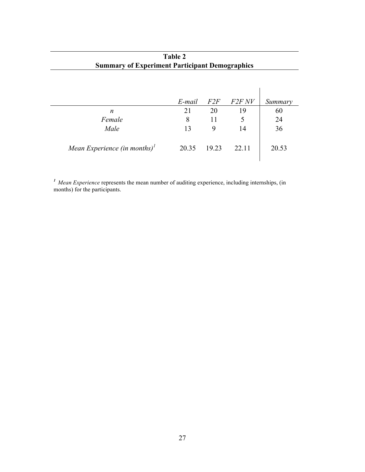| <b>Summary of Experiment Participant Demographics</b>      | Table 2 |       |          |         |
|------------------------------------------------------------|---------|-------|----------|---------|
|                                                            |         |       |          |         |
|                                                            | E-mail  | F2F   | $F2F$ NV | Summary |
| n                                                          | 21      | 20    | 19       | 60      |
| Female                                                     | 8       | 11    | 5        | 24      |
| Male                                                       | 13      | 9     | 14       | 36      |
| Mean Experience (in months) <sup><math>\prime</math></sup> | 20.35   | 19.23 | 22.11    | 20.53   |

*<sup>1</sup>Mean Experience* represents the mean number of auditing experience, including internships, (in months) for the participants.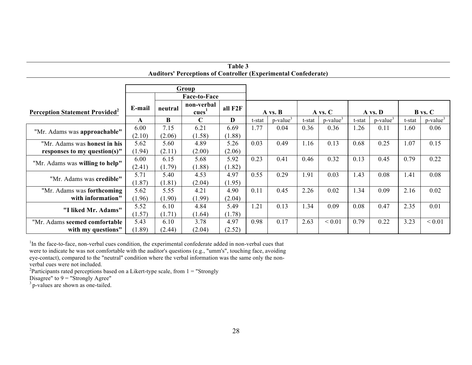| 1 avit J<br><b>Auditors' Perceptions of Controller (Experimental Confederate)</b>               |                                                                             |        |             |        |         |                         |         |                         |                |                         |        |                         |
|-------------------------------------------------------------------------------------------------|-----------------------------------------------------------------------------|--------|-------------|--------|---------|-------------------------|---------|-------------------------|----------------|-------------------------|--------|-------------------------|
| Group                                                                                           |                                                                             |        |             |        |         |                         |         |                         |                |                         |        |                         |
| <b>Face-to-Face</b>                                                                             |                                                                             |        |             |        |         |                         |         |                         |                |                         |        |                         |
| <b>Perception Statement Provided</b> <sup>2</sup>                                               | non-verbal<br>E-mail<br>all F <sub>2F</sub><br>neutral<br>cues <sup>1</sup> |        | A vs. B     |        | A vs. C |                         | A vs. D |                         | <b>B</b> vs. C |                         |        |                         |
| "Mr. Adams was approachable"<br>responses to my question(s)"<br>"Mr. Adams was willing to help" | A                                                                           | B      | $\mathbf C$ | D      | t-stat  | $p$ -value <sup>3</sup> | t-stat  | $p$ -value <sup>3</sup> | t-stat         | $p$ -value <sup>3</sup> | t-stat | $p$ -value <sup>3</sup> |
| "Mr. Adams was honest in his                                                                    | 6.00                                                                        | 7.15   | 6.21        | 6.69   | 1.77    | 0.04                    | 0.36    | 0.36                    | 1.26           | 0.11                    | .60    | 0.06                    |
|                                                                                                 | (2.10)                                                                      | (2.06) | (1.58)      | (1.88) |         |                         |         |                         |                |                         |        |                         |
|                                                                                                 | 5.62                                                                        | 5.60   | 4.89        | 5.26   | 0.03    | 0.49                    | 1.16    | 0.13                    | 0.68           | 0.25                    | 1.07   | 0.15                    |
|                                                                                                 | (1.94)                                                                      | (2.11) | (2.00)      | (2.06) |         |                         |         |                         |                |                         |        |                         |
|                                                                                                 | 6.00                                                                        | 6.15   | 5.68        | 5.92   | 0.23    | 0.41                    | 0.46    | 0.32                    | 0.13           | 0.45                    | 0.79   | 0.22                    |
|                                                                                                 | (2.41)                                                                      | (1.79) | (1.88)      | (1.82) |         |                         |         |                         |                |                         |        |                         |
| "Mr. Adams was credible"                                                                        | 5.71                                                                        | 5.40   | 4.53        | 4.97   | 0.55    | 0.29                    | 1.91    | 0.03                    | 1.43           | 0.08                    | 1.41   | 0.08                    |
|                                                                                                 | (1.87)                                                                      | (1.81) | (2.04)      | (1.95) |         |                         |         |                         |                |                         |        |                         |
| "Mr. Adams was forthcoming                                                                      | 5.62                                                                        | 5.55   | 4.21        | 4.90   | 0.11    | 0.45                    | 2.26    | 0.02                    | 1.34           | 0.09                    | 2.16   | 0.02                    |
| with information"                                                                               | (1.96)                                                                      | (1.90) | (1.99)      | (2.04) |         |                         |         |                         |                |                         |        |                         |
| "I liked Mr. Adams"                                                                             | 5.52                                                                        | 6.10   | 4.84        | 5.49   | 1.21    | 0.13                    | 1.34    | 0.09                    | 0.08           | 0.47                    | 2.35   | 0.01                    |
|                                                                                                 | (1.57)                                                                      | (1.71) | (1.64)      | (1.78) |         |                         |         |                         |                |                         |        |                         |
| "Mr. Adams seemed comfortable                                                                   | 5.43                                                                        | 6.10   | 3.78        | 4.97   | 0.98    | 0.17                    | 2.63    | ${}< 0.01$              | 0.79           | 0.22                    | 3.23   | ${}< 0.01$              |
| with my questions"                                                                              | (1.89)                                                                      | (2.44) | (2.04)      | (2.52) |         |                         |         |                         |                |                         |        |                         |

**Table 3**

<sup>1</sup>In the face-to-face, non-verbal cues condition, the experimental confederate added in non-verbal cues that

were to indicate he was not comfortable with the auditor's questions (e.g., "umm's", touching face, avoiding eye-contact), compared to the "neutral" condition where the verbal information was the same only the non-

verbal cues were not included.

<sup>2</sup>Participants rated perceptions based on a Likert-type scale, from  $1 =$  "Strongly

Disagree" to  $9 =$  "Strongly Agree"

<sup>3</sup> p-values are shown as one-tailed.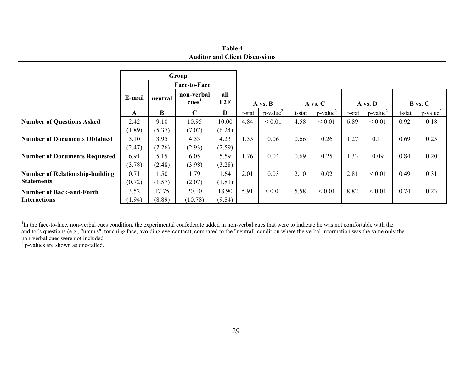# **Table 4 Auditor and Client Discussions**

|                                        | Group             |        |                                   |        |         |                         |         |                         |         |                         |                |                         |
|----------------------------------------|-------------------|--------|-----------------------------------|--------|---------|-------------------------|---------|-------------------------|---------|-------------------------|----------------|-------------------------|
|                                        |                   |        | <b>Face-to-Face</b>               |        |         |                         |         |                         |         |                         |                |                         |
|                                        | E-mail<br>neutral |        | all<br>non-verbal<br>F2F<br>cues' |        | A vs. B |                         | A vs. C |                         | A vs. D |                         | <b>B</b> vs. C |                         |
|                                        | A                 | B      | $\mathbf C$                       | D      | t-stat  | $p$ -value <sup>2</sup> | t-stat  | $p$ -value <sup>2</sup> | t-stat  | $p$ -value <sup>2</sup> | t-stat         | $p$ -value <sup>2</sup> |
| <b>Number of Questions Asked</b>       | 2.42              | 9.10   | 10.95                             | 10.00  | 4.84    | ${}< 0.01$              | 4.58    | ${}< 0.01$              | 6.89    | ${}_{0.01}$             | 0.92           | 0.18                    |
|                                        | (1.89)            | (5.37) | (7.07)                            | (6.24) |         |                         |         |                         |         |                         |                |                         |
| <b>Number of Documents Obtained</b>    | 5.10              | 3.95   | 4.53                              | 4.23   | 1.55    | 0.06                    | 0.66    | 0.26                    | 1.27    | 0.11                    | 0.69           | 0.25                    |
|                                        | (2.47)            | (2.26) | (2.93)                            | (2.59) |         |                         |         |                         |         |                         |                |                         |
| <b>Number of Documents Requested</b>   | 6.91              | 5.15   | 6.05                              | 5.59   | 1.76    | 0.04                    | 0.69    | 0.25                    | 1.33    | 0.09                    | 0.84           | 0.20                    |
|                                        | (3.78)            | (2.48) | (3.98)                            | (3.28) |         |                         |         |                         |         |                         |                |                         |
| <b>Number of Relationship-building</b> | 0.71              | 1.50   | 1.79                              | 1.64   | 2.01    | 0.03                    | 2.10    | 0.02                    | 2.81    | ${}< 0.01$              | 0.49           | 0.31                    |
| <b>Statements</b>                      | (0.72)            | (1.57) | (2.07)                            | (1.81) |         |                         |         |                         |         |                         |                |                         |
| <b>Number of Back-and-Forth</b>        | 3.52              | 17.75  | 20.10                             | 18.90  | 5.91    | ${}< 0.01$              | 5.58    | ${}< 0.01$              | 8.82    | ${}_{0.01}$             | 0.74           | 0.23                    |
| <b>Interactions</b>                    | (1.94)            | (8.89) | (10.78)                           | (9.84) |         |                         |         |                         |         |                         |                |                         |

<sup>1</sup>In the face-to-face, non-verbal cues condition, the experimental confederate added in non-verbal cues that were to indicate he was not comfortable with the auditor's questions (e.g., "umm's", touching face, avoiding eye-contact), compared to the "neutral" condition where the verbal information was the same only the

 $2$  p-values are shown as one-tailed.